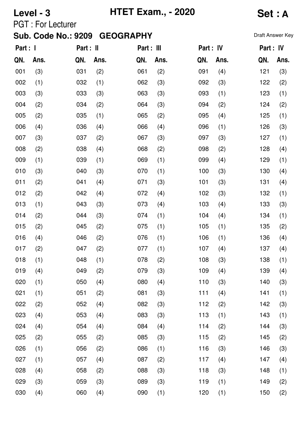# **Level - 3 HTET Exam., - 2020 Set : A**

PGT : For Lecturer

| Part : I |      | Part : II |      | Part : III |      | Part : IV |      | Part : IV |      |
|----------|------|-----------|------|------------|------|-----------|------|-----------|------|
| QN.      | Ans. | QN.       | Ans. | QN.        | Ans. | QN.       | Ans. | QN.       | Ans. |
| 001      | (3)  | 031       | (2)  | 061        | (2)  | 091       | (4)  | 121       | (3)  |
| 002      | (1)  | 032       | (1)  | 062        | (3)  | 092       | (3)  | 122       | (2)  |
| 003      | (3)  | 033       | (3)  | 063        | (3)  | 093       | (1)  | 123       | (1)  |
| 004      | (2)  | 034       | (2)  | 064        | (3)  | 094       | (2)  | 124       | (2)  |
| 005      | (2)  | 035       | (1)  | 065        | (2)  | 095       | (4)  | 125       | (1)  |
| 006      | (4)  | 036       | (4)  | 066        | (4)  | 096       | (1)  | 126       | (3)  |
| 007      | (3)  | 037       | (2)  | 067        | (3)  | 097       | (3)  | 127       | (1)  |
| 008      | (2)  | 038       | (4)  | 068        | (2)  | 098       | (2)  | 128       | (4)  |
| 009      | (1)  | 039       | (1)  | 069        | (1)  | 099       | (4)  | 129       | (1)  |
| 010      | (3)  | 040       | (3)  | 070        | (1)  | 100       | (3)  | 130       | (4)  |
| 011      | (2)  | 041       | (4)  | 071        | (3)  | 101       | (3)  | 131       | (4)  |
| 012      | (2)  | 042       | (4)  | 072        | (4)  | 102       | (3)  | 132       | (1)  |
| 013      | (1)  | 043       | (3)  | 073        | (4)  | 103       | (4)  | 133       | (3)  |
| 014      | (2)  | 044       | (3)  | 074        | (1)  | 104       | (4)  | 134       | (1)  |
| 015      | (2)  | 045       | (2)  | 075        | (1)  | 105       | (1)  | 135       | (2)  |
| 016      | (4)  | 046       | (2)  | 076        | (1)  | 106       | (1)  | 136       | (4)  |
| 017      | (2)  | 047       | (2)  | 077        | (1)  | 107       | (4)  | 137       | (4)  |
| 018      | (1)  | 048       | (1)  | 078        | (2)  | 108       | (3)  | 138       | (1)  |
| 019      | (4)  | 049       | (2)  | 079        | (3)  | 109       | (4)  | 139       | (4)  |
| 020      | (1)  | 050       | (4)  | 080        | (4)  | 110       | (3)  | 140       | (3)  |
| 021      | (1)  | 051       | (2)  | 081        | (3)  | 111       | (4)  | 141       | (1)  |
| 022      | (2)  | 052       | (4)  | 082        | (3)  | 112       | (2)  | 142       | (3)  |
| 023      | (4)  | 053       | (4)  | 083        | (3)  | 113       | (1)  | 143       | (1)  |
| 024      | (4)  | 054       | (4)  | 084        | (4)  | 114       | (2)  | 144       | (3)  |
| 025      | (2)  | 055       | (2)  | 085        | (3)  | 115       | (2)  | 145       | (2)  |
| 026      | (1)  | 056       | (2)  | 086        | (1)  | 116       | (3)  | 146       | (3)  |
| 027      | (1)  | 057       | (4)  | 087        | (2)  | 117       | (4)  | 147       | (4)  |
| 028      | (4)  | 058       | (2)  | 088        | (3)  | 118       | (3)  | 148       | (1)  |
| 029      | (3)  | 059       | (3)  | 089        | (3)  | 119       | (1)  | 149       | (2)  |
| 030      | (4)  | 060       | (4)  | 090        | (1)  | 120       | (1)  | 150       | (2)  |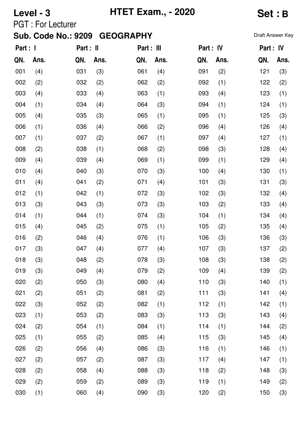## **Level - 3 HTET Exam., - 2020 Set : B**

PGT : For Lecturer

| Part : I |      | Part : II |      | Part : III |      | Part : IV |      | Part : IV |      |
|----------|------|-----------|------|------------|------|-----------|------|-----------|------|
| QN.      | Ans. | QN.       | Ans. | QN.        | Ans. | QN.       | Ans. | QN.       | Ans. |
| 001      | (4)  | 031       | (3)  | 061        | (4)  | 091       | (2)  | 121       | (3)  |
| 002      | (2)  | 032       | (2)  | 062        | (2)  | 092       | (1)  | 122       | (2)  |
| 003      | (4)  | 033       | (4)  | 063        | (1)  | 093       | (4)  | 123       | (1)  |
| 004      | (1)  | 034       | (4)  | 064        | (3)  | 094       | (1)  | 124       | (1)  |
| 005      | (4)  | 035       | (3)  | 065        | (1)  | 095       | (1)  | 125       | (3)  |
| 006      | (1)  | 036       | (4)  | 066        | (2)  | 096       | (4)  | 126       | (4)  |
| 007      | (1)  | 037       | (2)  | 067        | (1)  | 097       | (4)  | 127       | (1)  |
| 008      | (2)  | 038       | (1)  | 068        | (2)  | 098       | (3)  | 128       | (4)  |
| 009      | (4)  | 039       | (4)  | 069        | (1)  | 099       | (1)  | 129       | (4)  |
| 010      | (4)  | 040       | (3)  | 070        | (3)  | 100       | (4)  | 130       | (1)  |
| 011      | (4)  | 041       | (2)  | 071        | (4)  | 101       | (3)  | 131       | (3)  |
| 012      | (1)  | 042       | (1)  | 072        | (3)  | 102       | (3)  | 132       | (4)  |
| 013      | (3)  | 043       | (3)  | 073        | (3)  | 103       | (2)  | 133       | (4)  |
| 014      | (1)  | 044       | (1)  | 074        | (3)  | 104       | (1)  | 134       | (4)  |
| 015      | (4)  | 045       | (2)  | 075        | (1)  | 105       | (2)  | 135       | (4)  |
| 016      | (2)  | 046       | (4)  | 076        | (1)  | 106       | (3)  | 136       | (3)  |
| 017      | (3)  | 047       | (4)  | 077        | (4)  | 107       | (3)  | 137       | (2)  |
| 018      | (3)  | 048       | (2)  | 078        | (3)  | 108       | (3)  | 138       | (2)  |
| 019      | (3)  | 049       | (4)  | 079        | (2)  | 109       | (4)  | 139       | (2)  |
| 020      | (2)  | 050       | (3)  | 080        | (4)  | 110       | (3)  | 140       | (1)  |
| 021      | (2)  | 051       | (2)  | 081        | (2)  | 111       | (3)  | 141       | (4)  |
| 022      | (3)  | 052       | (2)  | 082        | (1)  | 112       | (1)  | 142       | (1)  |
| 023      | (1)  | 053       | (2)  | 083        | (3)  | 113       | (3)  | 143       | (4)  |
| 024      | (2)  | 054       | (1)  | 084        | (1)  | 114       | (1)  | 144       | (2)  |
| 025      | (1)  | 055       | (2)  | 085        | (4)  | 115       | (3)  | 145       | (4)  |
| 026      | (2)  | 056       | (4)  | 086        | (3)  | 116       | (1)  | 146       | (1)  |
| 027      | (2)  | 057       | (2)  | 087        | (3)  | 117       | (4)  | 147       | (1)  |
| 028      | (2)  | 058       | (4)  | 088        | (3)  | 118       | (2)  | 148       | (3)  |
| 029      | (2)  | 059       | (2)  | 089        | (3)  | 119       | (1)  | 149       | (2)  |
| 030      | (1)  | 060       | (4)  | 090        | (3)  | 120       | (2)  | 150       | (3)  |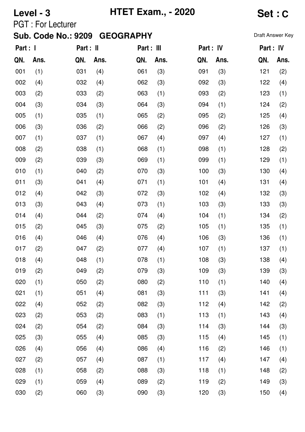## **Level - 3 HTET Exam., - 2020 Set : C**

PGT : For Lecturer

| Part : I |      | Part : II |      | Part : III |      | Part : IV |      | Part : IV |      |
|----------|------|-----------|------|------------|------|-----------|------|-----------|------|
| QN.      | Ans. | QN.       | Ans. | QN.        | Ans. | QN.       | Ans. | QN.       | Ans. |
| 001      | (1)  | 031       | (4)  | 061        | (3)  | 091       | (3)  | 121       | (2)  |
| 002      | (4)  | 032       | (4)  | 062        | (3)  | 092       | (3)  | 122       | (4)  |
| 003      | (2)  | 033       | (2)  | 063        | (1)  | 093       | (2)  | 123       | (1)  |
| 004      | (3)  | 034       | (3)  | 064        | (3)  | 094       | (1)  | 124       | (2)  |
| 005      | (1)  | 035       | (1)  | 065        | (2)  | 095       | (2)  | 125       | (4)  |
| 006      | (3)  | 036       | (2)  | 066        | (2)  | 096       | (2)  | 126       | (3)  |
| 007      | (1)  | 037       | (1)  | 067        | (4)  | 097       | (4)  | 127       | (1)  |
| 008      | (2)  | 038       | (1)  | 068        | (1)  | 098       | (1)  | 128       | (2)  |
| 009      | (2)  | 039       | (3)  | 069        | (1)  | 099       | (1)  | 129       | (1)  |
| 010      | (1)  | 040       | (2)  | 070        | (3)  | 100       | (3)  | 130       | (4)  |
| 011      | (3)  | 041       | (4)  | 071        | (1)  | 101       | (4)  | 131       | (4)  |
| 012      | (4)  | 042       | (3)  | 072        | (3)  | 102       | (4)  | 132       | (3)  |
| 013      | (3)  | 043       | (4)  | 073        | (1)  | 103       | (3)  | 133       | (3)  |
| 014      | (4)  | 044       | (2)  | 074        | (4)  | 104       | (1)  | 134       | (2)  |
| 015      | (2)  | 045       | (3)  | 075        | (2)  | 105       | (1)  | 135       | (1)  |
| 016      | (4)  | 046       | (4)  | 076        | (4)  | 106       | (3)  | 136       | (1)  |
| 017      | (2)  | 047       | (2)  | 077        | (4)  | 107       | (1)  | 137       | (1)  |
| 018      | (4)  | 048       | (1)  | 078        | (1)  | 108       | (3)  | 138       | (4)  |
| 019      | (2)  | 049       | (2)  | 079        | (3)  | 109       | (3)  | 139       | (3)  |
| 020      | (1)  | 050       | (2)  | 080        | (2)  | 110       | (1)  | 140       | (4)  |
| 021      | (1)  | 051       | (4)  | 081        | (3)  | 111       | (3)  | 141       | (4)  |
| 022      | (4)  | 052       | (2)  | 082        | (3)  | 112       | (4)  | 142       | (2)  |
| 023      | (2)  | 053       | (2)  | 083        | (1)  | 113       | (1)  | 143       | (4)  |
| 024      | (2)  | 054       | (2)  | 084        | (3)  | 114       | (3)  | 144       | (3)  |
| 025      | (3)  | 055       | (4)  | 085        | (3)  | 115       | (4)  | 145       | (1)  |
| 026      | (4)  | 056       | (4)  | 086        | (4)  | 116       | (2)  | 146       | (1)  |
| 027      | (2)  | 057       | (4)  | 087        | (1)  | 117       | (4)  | 147       | (4)  |
| 028      | (1)  | 058       | (2)  | 088        | (3)  | 118       | (1)  | 148       | (2)  |
| 029      | (1)  | 059       | (4)  | 089        | (2)  | 119       | (2)  | 149       | (3)  |
| 030      | (2)  | 060       | (3)  | 090        | (3)  | 120       | (3)  | 150       | (4)  |